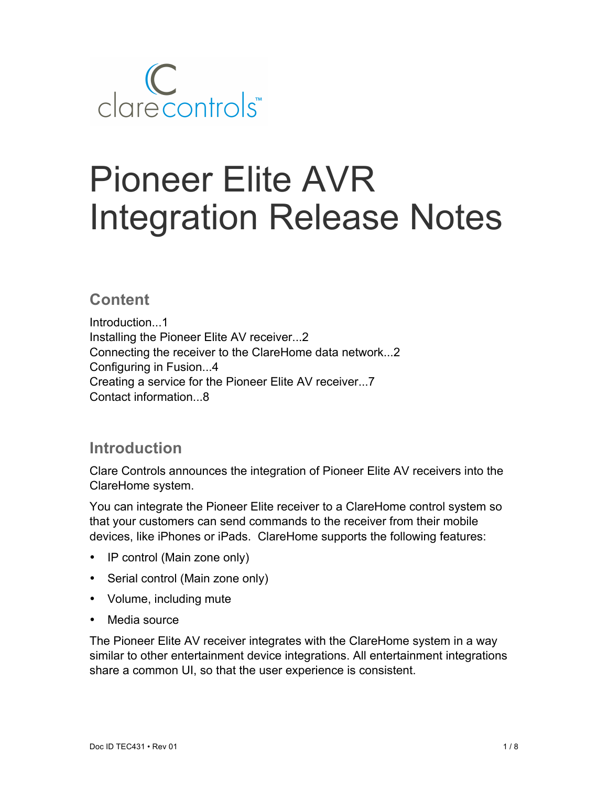

# Pioneer Elite AVR Integration Release Notes

## **Content**

Introduction...1 Installing the Pioneer Elite AV receiver...2 Connecting the receiver to the ClareHome data network...2 Configuring in Fusion...4 Creating a service for the Pioneer Elite AV receiver...7 Contact information...8

# **Introduction**

Clare Controls announces the integration of Pioneer Elite AV receivers into the ClareHome system.

You can integrate the Pioneer Elite receiver to a ClareHome control system so that your customers can send commands to the receiver from their mobile devices, like iPhones or iPads. ClareHome supports the following features:

- IP control (Main zone only)
- Serial control (Main zone only)
- Volume, including mute
- Media source

The Pioneer Elite AV receiver integrates with the ClareHome system in a way similar to other entertainment device integrations. All entertainment integrations share a common UI, so that the user experience is consistent.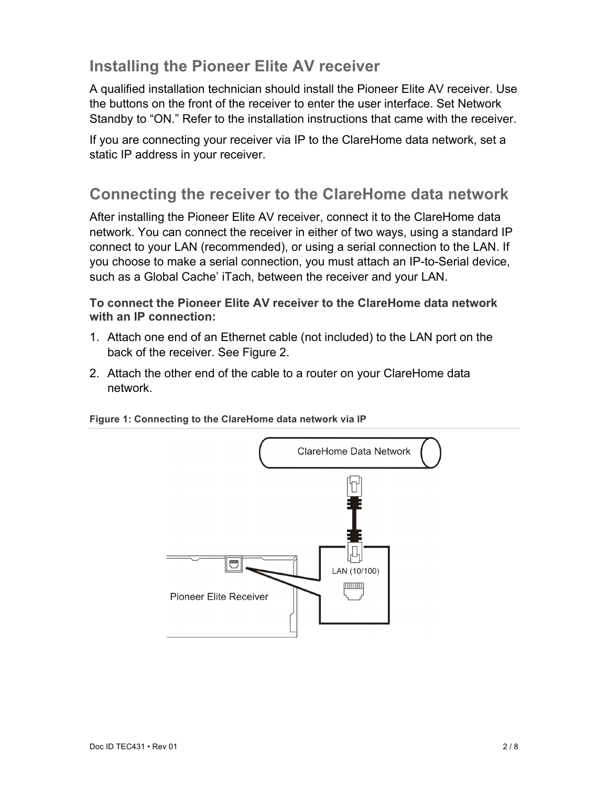# **Installing the Pioneer Elite AV receiver**

A qualified installation technician should install the Pioneer Elite AV receiver. Use the buttons on the front of the receiver to enter the user interface. Set Network Standby to "ON." Refer to the installation instructions that came with the receiver.

If you are connecting your receiver via IP to the ClareHome data network, set a static IP address in your receiver.

# **Connecting the receiver to the ClareHome data network**

After installing the Pioneer Elite AV receiver, connect it to the ClareHome data network. You can connect the receiver in either of two ways, using a standard IP connect to your LAN (recommended), or using a serial connection to the LAN. If you choose to make a serial connection, you must attach an IP-to-Serial device, such as a Global Cache' iTach, between the receiver and your LAN.

**To connect the Pioneer Elite AV receiver to the ClareHome data network with an IP connection:**

- 1. Attach one end of an Ethernet cable (not included) to the LAN port on the back of the receiver. See Figure 2.
- 2. Attach the other end of the cable to a router on your ClareHome data network.



#### **Figure 1: Connecting to the ClareHome data network via IP**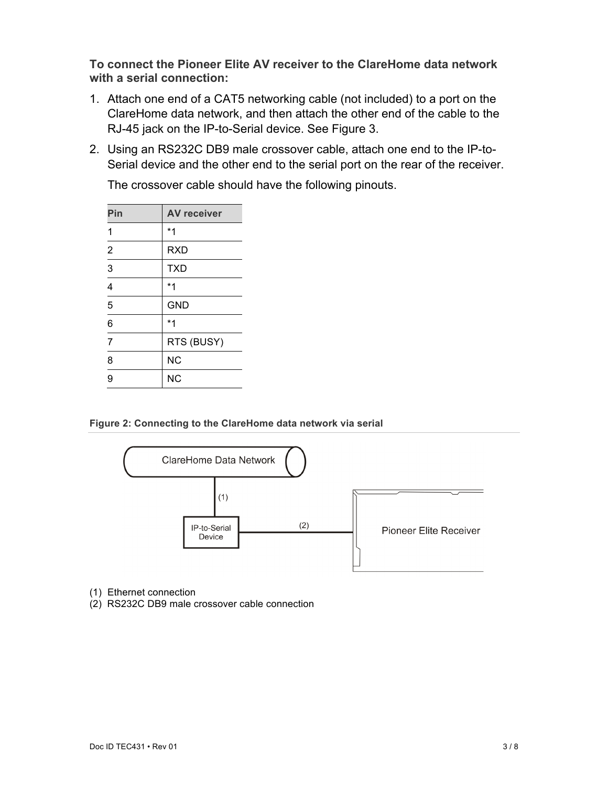**To connect the Pioneer Elite AV receiver to the ClareHome data network with a serial connection:**

- 1. Attach one end of a CAT5 networking cable (not included) to a port on the ClareHome data network, and then attach the other end of the cable to the RJ-45 jack on the IP-to-Serial device. See Figure 3.
- 2. Using an RS232C DB9 male crossover cable, attach one end to the IP-to-Serial device and the other end to the serial port on the rear of the receiver.

| Pin            | <b>AV receiver</b> |
|----------------|--------------------|
| 1              | $*1$               |
| 2              | <b>RXD</b>         |
| $\overline{3}$ | <b>TXD</b>         |
| 4              | $*1$               |
| 5              | <b>GND</b>         |
| 6              | $*1$               |
| $\overline{7}$ | RTS (BUSY)         |
| 8              | <b>NC</b>          |
| 9              | <b>NC</b>          |

The crossover cable should have the following pinouts.

**Figure 2: Connecting to the ClareHome data network via serial**



- (1) Ethernet connection
- (2) RS232C DB9 male crossover cable connection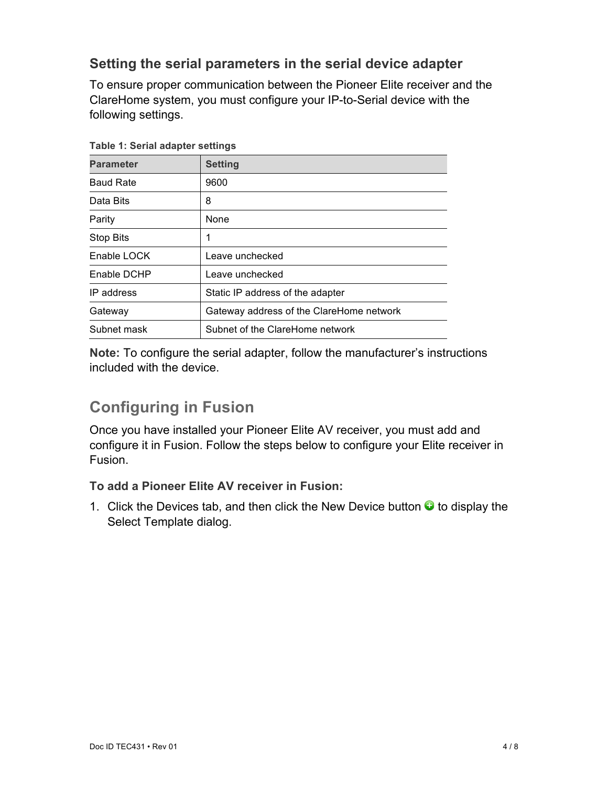### **Setting the serial parameters in the serial device adapter**

To ensure proper communication between the Pioneer Elite receiver and the ClareHome system, you must configure your IP-to-Serial device with the following settings.

| rapic i. Ocharadapter settings |                                          |  |
|--------------------------------|------------------------------------------|--|
| <b>Parameter</b>               | <b>Setting</b>                           |  |
| <b>Baud Rate</b>               | 9600                                     |  |
| Data Bits                      | 8                                        |  |
| Parity                         | None                                     |  |
| <b>Stop Bits</b>               |                                          |  |
| Enable LOCK                    | Leave unchecked                          |  |
| Enable DCHP                    | Leave unchecked                          |  |
| IP address                     | Static IP address of the adapter         |  |
| Gateway                        | Gateway address of the ClareHome network |  |
| Subnet mask                    | Subnet of the ClareHome network          |  |

**Table 1: Serial adapter settings**

**Note:** To configure the serial adapter, follow the manufacturer's instructions included with the device.

# **Configuring in Fusion**

Once you have installed your Pioneer Elite AV receiver, you must add and configure it in Fusion. Follow the steps below to configure your Elite receiver in Fusion.

#### **To add a Pioneer Elite AV receiver in Fusion:**

1. Click the Devices tab, and then click the New Device button  $\bullet$  to display the Select Template dialog.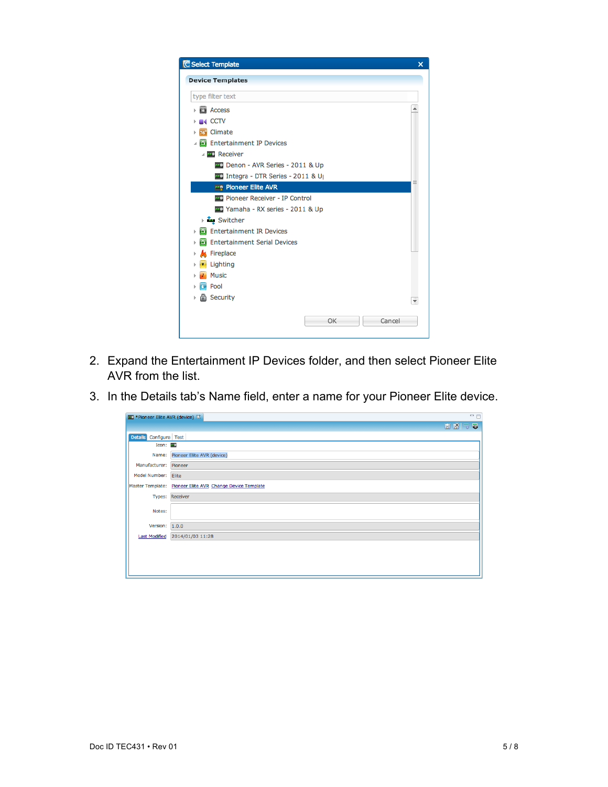

- 2. Expand the Entertainment IP Devices folder, and then select Pioneer Elite AVR from the list.
- 3. In the Details tab's Name field, enter a name for your Pioneer Elite device.

| ** Pioneer Elite AVR (device) &  | $=$ $E$                                                   |  |
|----------------------------------|-----------------------------------------------------------|--|
|                                  | $H$ $N$ $\sim$ 5                                          |  |
| <b>Details</b><br>Configure Test |                                                           |  |
| Icon: $\frac{1}{2}$              |                                                           |  |
| Name:                            | Pioneer Elite AVR (device)                                |  |
| Manufacturer:                    | Pioneer                                                   |  |
| Model Number:                    | Elite                                                     |  |
|                                  | Master Template: Pioneer Elite AVR Change Device Template |  |
|                                  | Types: Receiver                                           |  |
| Notes:                           |                                                           |  |
| Version: $1.0.0$                 |                                                           |  |
| <b>Last Modified</b>             | 2014/01/03 11:28                                          |  |
|                                  |                                                           |  |
|                                  |                                                           |  |
|                                  |                                                           |  |
|                                  |                                                           |  |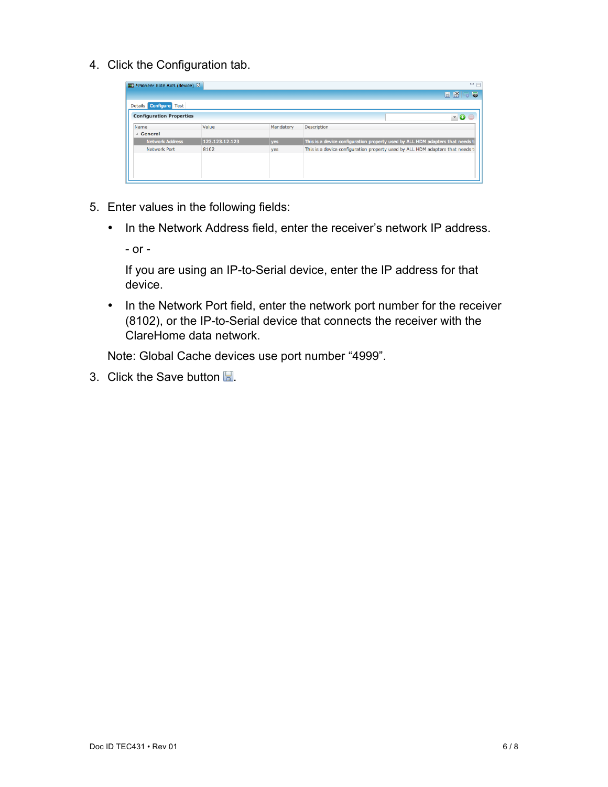4. Click the Configuration tab.

| ** Pioneer Elite AVR (device) & |                |           | $=$ $F$                                                                       |
|---------------------------------|----------------|-----------|-------------------------------------------------------------------------------|
|                                 |                |           | $B$ $R$<br>55                                                                 |
| Details Configure Test          |                |           |                                                                               |
| <b>Configuration Properties</b> |                |           | œ                                                                             |
| Name                            | Value          | Mandatory | <b>Description</b>                                                            |
| General                         |                |           |                                                                               |
| <b>Network Address</b>          | 123.123.12.123 | yes       | This is a device configuration property used by ALL HDM adapters that needs t |
| <b>Network Port</b>             | 8102           | yes       | This is a device configuration property used by ALL HDM adapters that needs t |
|                                 |                |           |                                                                               |
|                                 |                |           |                                                                               |
|                                 |                |           |                                                                               |
|                                 |                |           |                                                                               |

- 5. Enter values in the following fields:
	- In the Network Address field, enter the receiver's network IP address.

- or -

If you are using an IP-to-Serial device, enter the IP address for that device.

• In the Network Port field, enter the network port number for the receiver (8102), or the IP-to-Serial device that connects the receiver with the ClareHome data network.

Note: Global Cache devices use port number "4999".

3. Click the Save button  $\Box$ .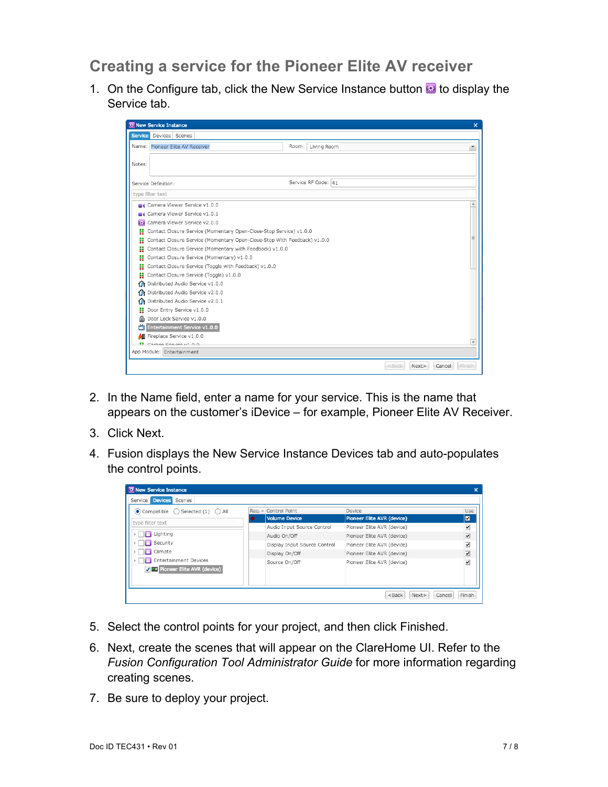# **Creating a service for the Pioneer Elite AV receiver**

1. On the Configure tab, click the New Service Instance button  $\blacksquare$  to display the Service tab.

| <b>W</b> New Service Instance                                                 |                           | ×                |
|-------------------------------------------------------------------------------|---------------------------|------------------|
| Devices Scenes<br><b>Service</b>                                              |                           |                  |
| Name: Pioneer Elite AV Receiver                                               | Living Room<br>Room:      |                  |
|                                                                               |                           |                  |
| Notes:                                                                        |                           |                  |
|                                                                               |                           |                  |
| Service Definition:                                                           | Service RF Code: 41       |                  |
| type filter text                                                              |                           |                  |
| Camera Viewer Service v1.0.0                                                  |                           | ▲                |
| Camera Viewer Service v1.0.1                                                  |                           |                  |
| Camera Viewer Service v2.0.0<br>森                                             |                           |                  |
| Contact Closure Service (Momentary Open-Close-Stop Service) v1.0.0<br>×       |                           |                  |
| Contact Closure Service (Momentary Open-Close-Stop With Feedback) v1.0.0<br>8 |                           |                  |
| Contact Closure Service (Momentary with Feedback) v1.0.0<br>H                 |                           |                  |
| Contact Closure Service (Momentary) v1.0.0<br>33                              |                           |                  |
| Contact Closure Service (Toggle with Feedback) v1.0.0<br>×                    |                           |                  |
| Contact Closure Service (Toggle) v1.0.0<br>8                                  |                           |                  |
| Distributed Audio Service v1.0.0<br>Ωħ.                                       |                           |                  |
| Distributed Audio Service v2.0.0<br>ΩN.                                       |                           |                  |
| Distributed Audio Service v2.0.1<br>Œ.                                        |                           |                  |
| Door Entry Service v1.0.0<br>88.                                              |                           |                  |
| Door Lock Service v1.0.0<br>a                                                 |                           |                  |
| Entertainment Service v1.0.0<br>ň                                             |                           |                  |
| H Fireplace Service v1.0.0                                                    |                           | ٠                |
| <b>12</b> Carago Sensice ut 0.0                                               |                           |                  |
| App Module: Entertainment                                                     |                           |                  |
|                                                                               | <bac<br>Next&gt;</bac<br> | Cancel<br>Finish |

- 2. In the Name field, enter a name for your service. This is the name that appears on the customer's iDevice – for example, Pioneer Elite AV Receiver.
- 3. Click Next.
- 4. Fusion displays the New Service Instance Devices tab and auto-populates the control points.

| Service Devices Scenes                                         |                              |                            |                          |
|----------------------------------------------------------------|------------------------------|----------------------------|--------------------------|
| $\odot$ Compatible $\bigcirc$ Selected (1) $\bigcirc$ All      | Req. - Control Point         | Device                     | Use                      |
| type filter text                                               | <b>Volume Device</b>         | Pioneer Elite AVR (device) | ⊠                        |
|                                                                | Audio Input Source Control   | Pioneer Elite AVR (device) | $\overline{\phantom{0}}$ |
| Lighting                                                       | Audio On/Off                 | Pioneer Elite AVR (device) | ⊻                        |
| Security                                                       | Display Input Source Control | Pioneer Elite AVR (device) | $\overline{\phantom{0}}$ |
| Climate                                                        | Display On/Off               | Pioneer Elite AVR (device) | ✓                        |
| <b>Entertainment Devices</b><br>V - Pioneer Elite AVR (device) | Source On/Off                | Pioneer Elite AVR (device) | $\overline{\mathbf{v}}$  |

- 5. Select the control points for your project, and then click Finished.
- 6. Next, create the scenes that will appear on the ClareHome UI. Refer to the *Fusion Configuration Tool Administrator Guide* for more information regarding creating scenes.
- 7. Be sure to deploy your project.